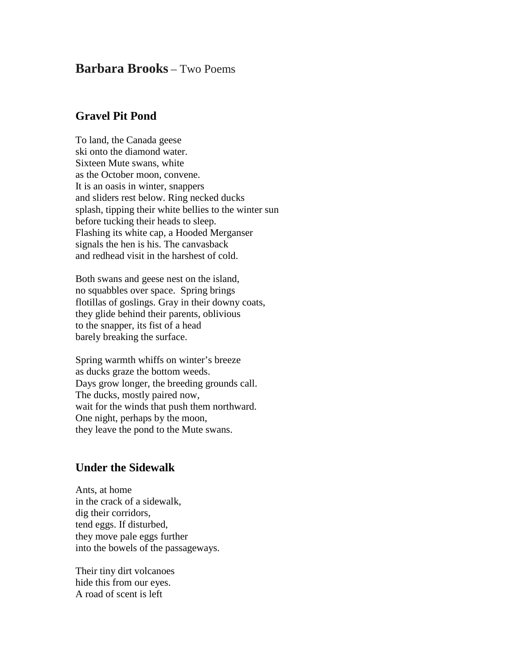## **Barbara Brooks** – Two Poems

## **Gravel Pit Pond**

To land, the Canada geese ski onto the diamond water. Sixteen Mute swans, white as the October moon, convene. It is an oasis in winter, snappers and sliders rest below. Ring necked ducks splash, tipping their white bellies to the winter sun before tucking their heads to sleep. Flashing its white cap, a Hooded Merganser signals the hen is his. The canvasback and redhead visit in the harshest of cold.

Both swans and geese nest on the island, no squabbles over space. Spring brings flotillas of goslings. Gray in their downy coats, they glide behind their parents, oblivious to the snapper, its fist of a head barely breaking the surface.

Spring warmth whiffs on winter's breeze as ducks graze the bottom weeds. Days grow longer, the breeding grounds call. The ducks, mostly paired now, wait for the winds that push them northward. One night, perhaps by the moon, they leave the pond to the Mute swans.

## **Under the Sidewalk**

Ants, at home in the crack of a sidewalk, dig their corridors, tend eggs. If disturbed, they move pale eggs further into the bowels of the passageways.

Their tiny dirt volcanoes hide this from our eyes. A road of scent is left